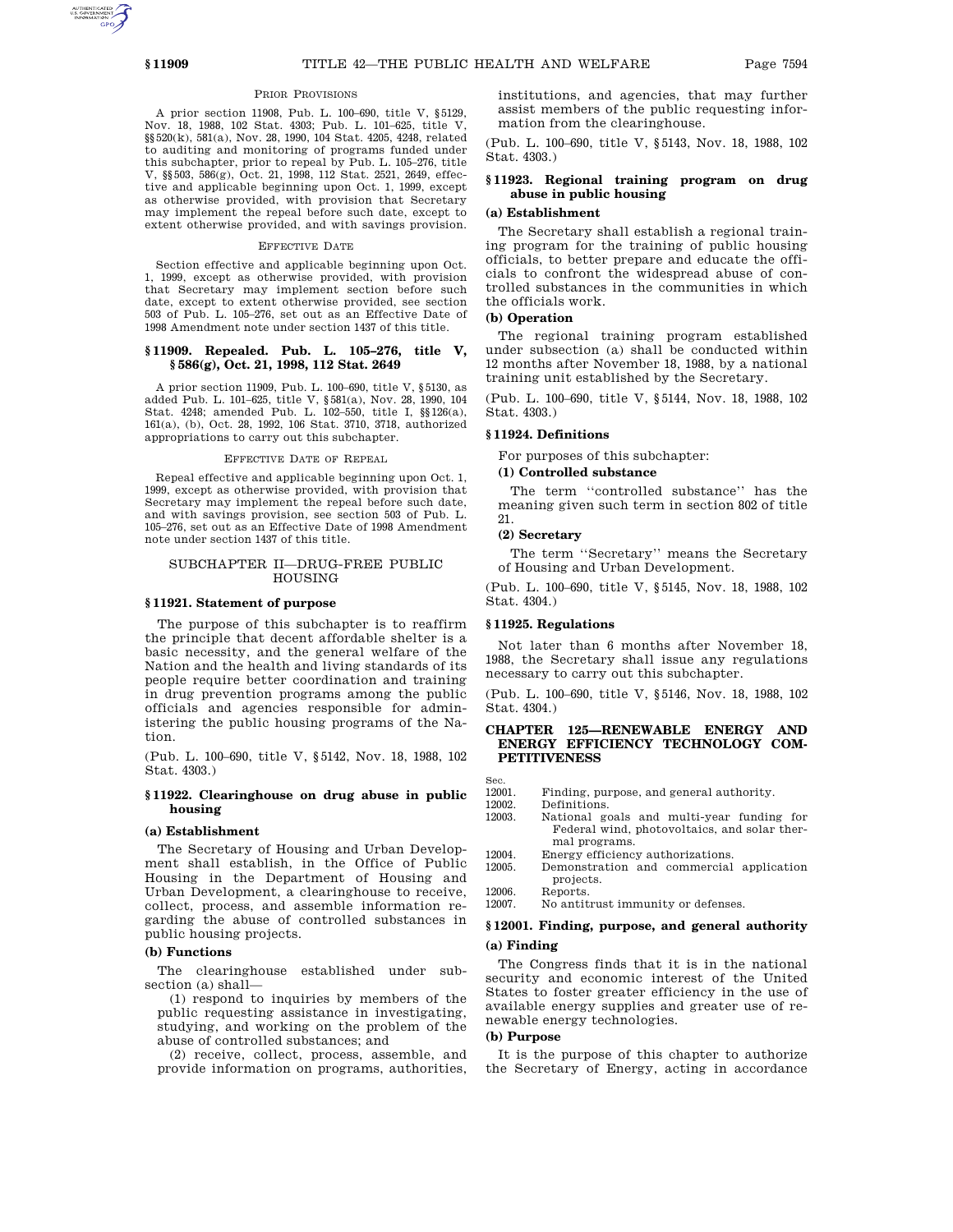# PRIOR PROVISIONS

A prior section 11908, Pub. L. 100–690, title V, §5129, Nov. 18, 1988, 102 Stat. 4303; Pub. L. 101–625, title V, §§520(k), 581(a), Nov. 28, 1990, 104 Stat. 4205, 4248, related to auditing and monitoring of programs funded under this subchapter, prior to repeal by Pub. L. 105–276, title V, §§503, 586(g), Oct. 21, 1998, 112 Stat. 2521, 2649, effective and applicable beginning upon Oct. 1, 1999, except as otherwise provided, with provision that Secretary may implement the repeal before such date, except to extent otherwise provided, and with savings provision.

# EFFECTIVE DATE

Section effective and applicable beginning upon Oct. 1, 1999, except as otherwise provided, with provision that Secretary may implement section before such date, except to extent otherwise provided, see section 503 of Pub. L. 105–276, set out as an Effective Date of 1998 Amendment note under section 1437 of this title.

## **§ 11909. Repealed. Pub. L. 105–276, title V, § 586(g), Oct. 21, 1998, 112 Stat. 2649**

A prior section 11909, Pub. L. 100–690, title V, §5130, as added Pub. L. 101–625, title V, §581(a), Nov. 28, 1990, 104 Stat. 4248; amended Pub. L. 102–550, title I, §§126(a), 161(a), (b), Oct. 28, 1992, 106 Stat. 3710, 3718, authorized appropriations to carry out this subchapter.

# EFFECTIVE DATE OF REPEAL

Repeal effective and applicable beginning upon Oct. 1, 1999, except as otherwise provided, with provision that Secretary may implement the repeal before such date, and with savings provision, see section 503 of Pub. L. 105–276, set out as an Effective Date of 1998 Amendment note under section 1437 of this title.

# SUBCHAPTER II—DRUG-FREE PUBLIC HOUSING

## **§ 11921. Statement of purpose**

The purpose of this subchapter is to reaffirm the principle that decent affordable shelter is a basic necessity, and the general welfare of the Nation and the health and living standards of its people require better coordination and training in drug prevention programs among the public officials and agencies responsible for administering the public housing programs of the Nation.

(Pub. L. 100–690, title V, §5142, Nov. 18, 1988, 102 Stat. 4303.)

# **§ 11922. Clearinghouse on drug abuse in public housing**

## **(a) Establishment**

The Secretary of Housing and Urban Development shall establish, in the Office of Public Housing in the Department of Housing and Urban Development, a clearinghouse to receive, collect, process, and assemble information regarding the abuse of controlled substances in public housing projects.

## **(b) Functions**

The clearinghouse established under subsection (a) shall—

(1) respond to inquiries by members of the public requesting assistance in investigating, studying, and working on the problem of the abuse of controlled substances; and

(2) receive, collect, process, assemble, and provide information on programs, authorities, institutions, and agencies, that may further assist members of the public requesting information from the clearinghouse.

(Pub. L. 100–690, title V, §5143, Nov. 18, 1988, 102 Stat. 4303.)

# **§ 11923. Regional training program on drug abuse in public housing**

# **(a) Establishment**

The Secretary shall establish a regional training program for the training of public housing officials, to better prepare and educate the officials to confront the widespread abuse of controlled substances in the communities in which the officials work.

## **(b) Operation**

The regional training program established under subsection (a) shall be conducted within 12 months after November 18, 1988, by a national training unit established by the Secretary.

(Pub. L. 100–690, title V, §5144, Nov. 18, 1988, 102 Stat. 4303.)

# **§ 11924. Definitions**

For purposes of this subchapter:

## **(1) Controlled substance**

The term ''controlled substance'' has the meaning given such term in section 802 of title 21.

### **(2) Secretary**

The term ''Secretary'' means the Secretary of Housing and Urban Development.

(Pub. L. 100–690, title V, §5145, Nov. 18, 1988, 102 Stat. 4304.)

# **§ 11925. Regulations**

Not later than 6 months after November 18, 1988, the Secretary shall issue any regulations necessary to carry out this subchapter.

(Pub. L. 100–690, title V, §5146, Nov. 18, 1988, 102 Stat. 4304.)

# **CHAPTER 125—RENEWABLE ENERGY AND ENERGY EFFICIENCY TECHNOLOGY COM-PETITIVENESS**

Sec.<br>12001.

- 12001. Finding, purpose, and general authority.<br>12002. Definitions.
	- Definitions.
- 12003. National goals and multi-year funding for Federal wind, photovoltaics, and solar thermal programs.
- 12004. Energy efficiency authorizations.<br>12005. Demonstration and commercial
	- 12005. Demonstration and commercial application projects.

12006. Reports.<br>12007. No antit

No antitrust immunity or defenses.

# **§ 12001. Finding, purpose, and general authority (a) Finding**

The Congress finds that it is in the national security and economic interest of the United States to foster greater efficiency in the use of available energy supplies and greater use of renewable energy technologies.

# **(b) Purpose**

It is the purpose of this chapter to authorize the Secretary of Energy, acting in accordance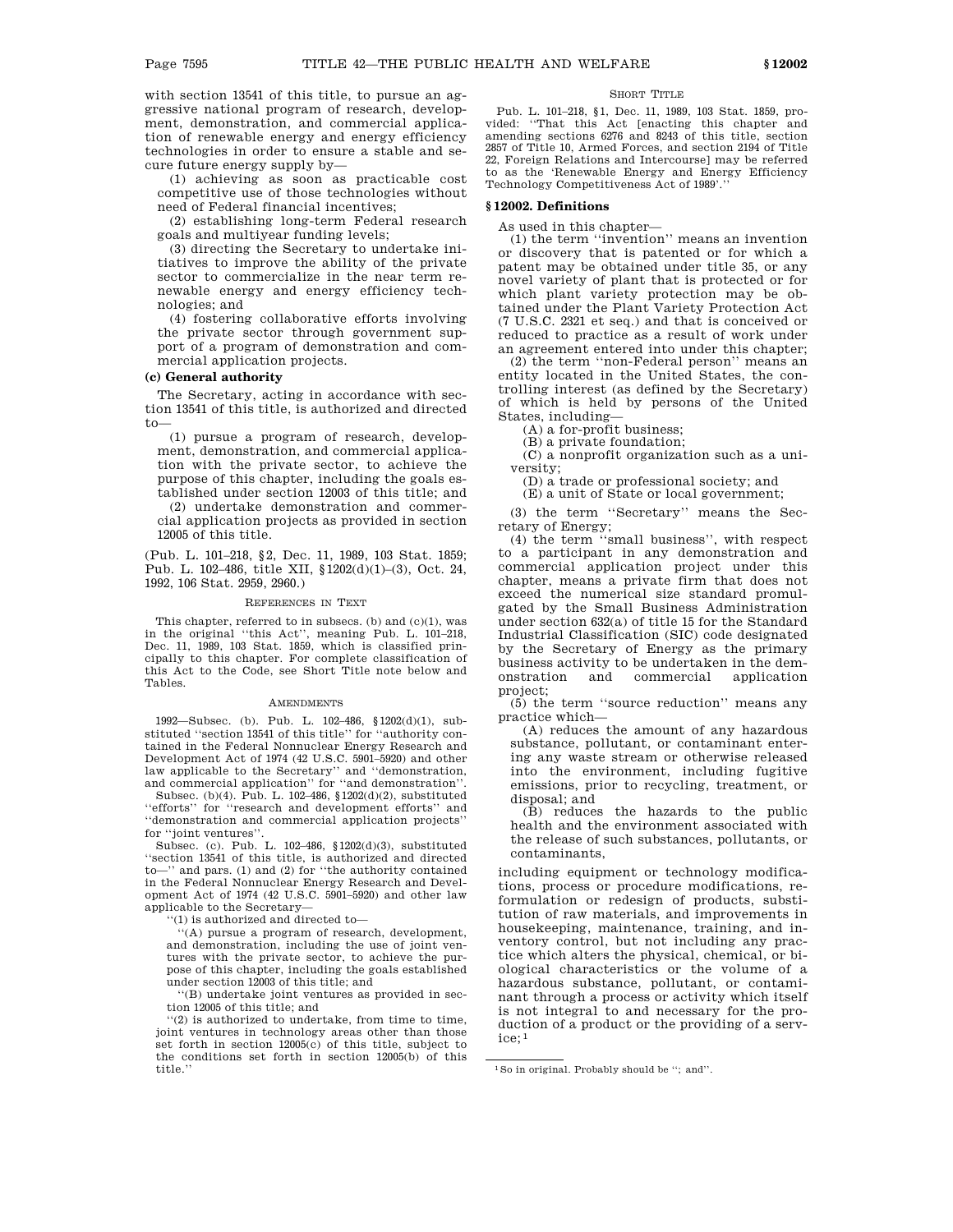with section 13541 of this title, to pursue an aggressive national program of research, development, demonstration, and commercial application of renewable energy and energy efficiency technologies in order to ensure a stable and secure future energy supply by—

(1) achieving as soon as practicable cost competitive use of those technologies without need of Federal financial incentives;

(2) establishing long-term Federal research goals and multiyear funding levels;

(3) directing the Secretary to undertake initiatives to improve the ability of the private sector to commercialize in the near term renewable energy and energy efficiency technologies; and

(4) fostering collaborative efforts involving the private sector through government support of a program of demonstration and commercial application projects.

# **(c) General authority**

The Secretary, acting in accordance with section 13541 of this title, is authorized and directed to—

(1) pursue a program of research, development, demonstration, and commercial application with the private sector, to achieve the purpose of this chapter, including the goals established under section 12003 of this title; and

(2) undertake demonstration and commercial application projects as provided in section 12005 of this title.

(Pub. L. 101–218, §2, Dec. 11, 1989, 103 Stat. 1859; Pub. L. 102–486, title XII, §1202(d)(1)–(3), Oct. 24, 1992, 106 Stat. 2959, 2960.)

#### REFERENCES IN TEXT

This chapter, referred to in subsecs. (b) and (c)(1), was in the original ''this Act'', meaning Pub. L. 101–218, Dec. 11, 1989, 103 Stat. 1859, which is classified principally to this chapter. For complete classification of this Act to the Code, see Short Title note below and Tables.

#### **AMENDMENTS**

1992—Subsec. (b). Pub. L. 102–486, §1202(d)(1), substituted ''section 13541 of this title'' for ''authority contained in the Federal Nonnuclear Energy Research and Development Act of 1974 (42 U.S.C. 5901–5920) and other law applicable to the Secretary'' and ''demonstration, and commercial application'' for "and demonstration"

Subsec. (b)(4). Pub. L. 102–486, §1202(d)(2), substituted ''efforts'' for ''research and development efforts'' and ''demonstration and commercial application projects'' for ''joint ventures''.

Subsec. (c). Pub. L. 102–486, §1202(d)(3), substituted ''section 13541 of this title, is authorized and directed to—'' and pars. (1) and (2) for ''the authority contained in the Federal Nonnuclear Energy Research and Development Act of 1974 (42 U.S.C. 5901–5920) and other law applicable to the Secretary—

''(1) is authorized and directed to—

''(A) pursue a program of research, development, and demonstration, including the use of joint ventures with the private sector, to achieve the purpose of this chapter, including the goals established under section 12003 of this title; and

''(B) undertake joint ventures as provided in section 12005 of this title; and

 $(2)$  is authorized to undertake, from time to time, joint ventures in technology areas other than those set forth in section 12005(c) of this title, subject to the conditions set forth in section 12005(b) of this title.''

#### SHORT TITLE

Pub. L. 101–218, §1, Dec. 11, 1989, 103 Stat. 1859, pro-vided: ''That this Act [enacting this chapter and amending sections 6276 and 8243 of this title, section 2857 of Title 10, Armed Forces, and section 2194 of Title 22, Foreign Relations and Intercourse] may be referred to as the 'Renewable Energy and Energy Efficiency Technology Competitiveness Act of 1989'.''

## **§ 12002. Definitions**

As used in this chapter—

(1) the term ''invention'' means an invention or discovery that is patented or for which a patent may be obtained under title 35, or any novel variety of plant that is protected or for which plant variety protection may be obtained under the Plant Variety Protection Act (7 U.S.C. 2321 et seq.) and that is conceived or reduced to practice as a result of work under an agreement entered into under this chapter;

(2) the term ''non-Federal person'' means an entity located in the United States, the controlling interest (as defined by the Secretary) of which is held by persons of the United States, including—

(A) a for-profit business;

(B) a private foundation;

(C) a nonprofit organization such as a university;

(D) a trade or professional society; and

(E) a unit of State or local government;

(3) the term ''Secretary'' means the Secretary of Energy;

(4) the term ''small business'', with respect to a participant in any demonstration and commercial application project under this chapter, means a private firm that does not exceed the numerical size standard promulgated by the Small Business Administration under section 632(a) of title 15 for the Standard Industrial Classification (SIC) code designated by the Secretary of Energy as the primary business activity to be undertaken in the demonstration and commercial application project;

(5) the term ''source reduction'' means any practice which—

(A) reduces the amount of any hazardous substance, pollutant, or contaminant entering any waste stream or otherwise released into the environment, including fugitive emissions, prior to recycling, treatment, or disposal; and

(B) reduces the hazards to the public health and the environment associated with the release of such substances, pollutants, or contaminants,

including equipment or technology modifications, process or procedure modifications, reformulation or redesign of products, substitution of raw materials, and improvements in housekeeping, maintenance, training, and inventory control, but not including any practice which alters the physical, chemical, or biological characteristics or the volume of a hazardous substance, pollutant, or contaminant through a process or activity which itself is not integral to and necessary for the production of a product or the providing of a service; 1

<sup>1</sup>So in original. Probably should be ''; and''.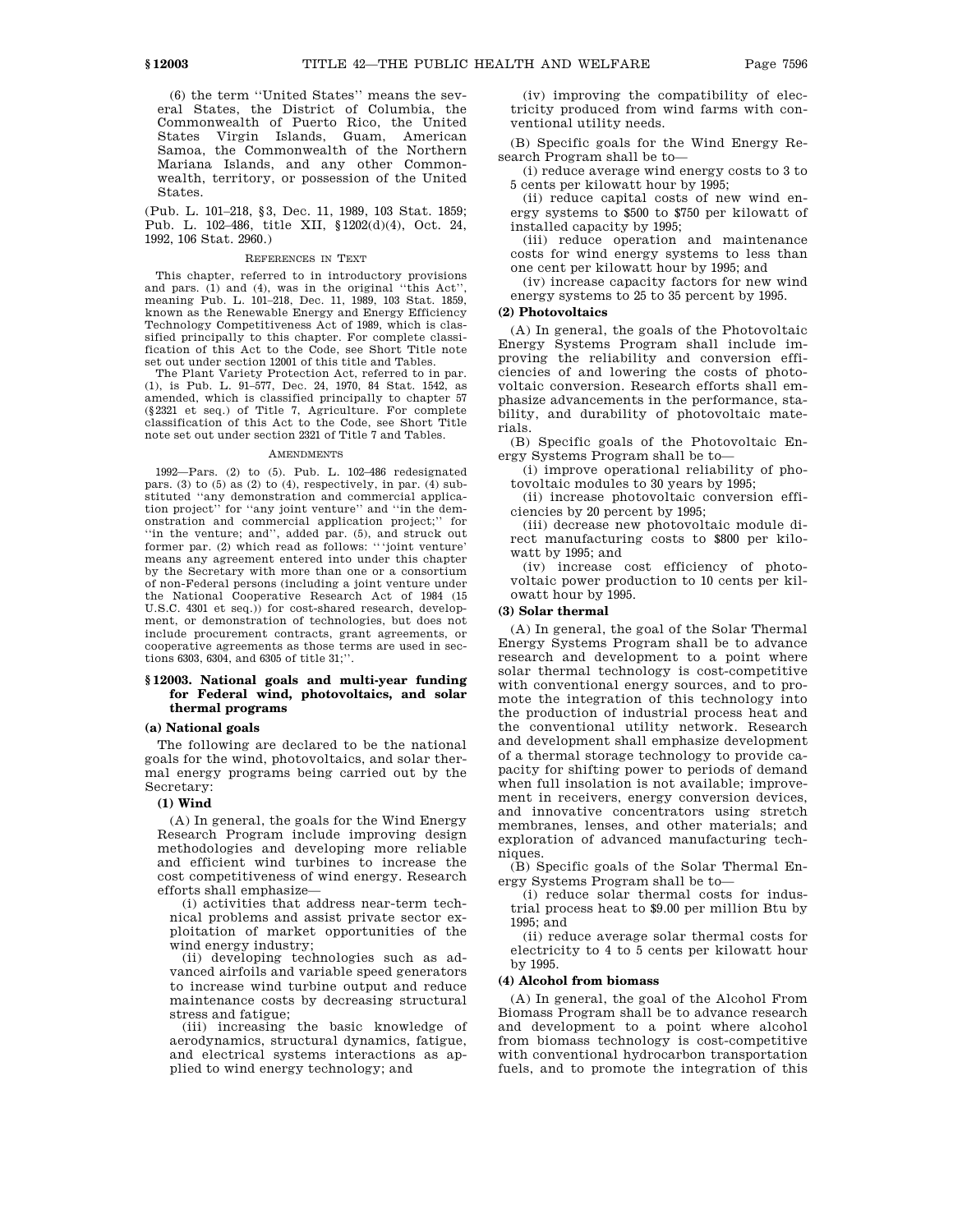(6) the term ''United States'' means the several States, the District of Columbia, the Commonwealth of Puerto Rico, the United States Virgin Islands, Guam, American Samoa, the Commonwealth of the Northern Mariana Islands, and any other Commonwealth, territory, or possession of the United States.

(Pub. L. 101–218, §3, Dec. 11, 1989, 103 Stat. 1859; Pub. L. 102–486, title XII, §1202(d)(4), Oct. 24, 1992, 106 Stat. 2960.)

## REFERENCES IN TEXT

This chapter, referred to in introductory provisions and pars. (1) and (4), was in the original ''this Act'', meaning Pub. L. 101–218, Dec. 11, 1989, 103 Stat. 1859, known as the Renewable Energy and Energy Efficiency Technology Competitiveness Act of 1989, which is classified principally to this chapter. For complete classification of this Act to the Code, see Short Title note set out under section 12001 of this title and Tables.

The Plant Variety Protection Act, referred to in par. (1), is Pub. L. 91–577, Dec. 24, 1970, 84 Stat. 1542, as amended, which is classified principally to chapter 57 (§2321 et seq.) of Title 7, Agriculture. For complete classification of this Act to the Code, see Short Title note set out under section 2321 of Title 7 and Tables.

## **AMENDMENTS**

1992—Pars. (2) to (5). Pub. L. 102–486 redesignated pars. (3) to  $(5)$  as  $(2)$  to  $(4)$ , respectively, in par.  $(4)$  substituted ''any demonstration and commercial application project'' for ''any joint venture'' and ''in the demonstration and commercial application project;'' for ''in the venture; and'', added par. (5), and struck out former par. (2) which read as follows: '''joint venture' means any agreement entered into under this chapter by the Secretary with more than one or a consortium of non-Federal persons (including a joint venture under the National Cooperative Research Act of 1984 (15 U.S.C. 4301 et seq.)) for cost-shared research, development, or demonstration of technologies, but does not include procurement contracts, grant agreements, or cooperative agreements as those terms are used in sections 6303, 6304, and 6305 of title 31;''.

# **§ 12003. National goals and multi-year funding for Federal wind, photovoltaics, and solar thermal programs**

## **(a) National goals**

The following are declared to be the national goals for the wind, photovoltaics, and solar thermal energy programs being carried out by the Secretary:

## **(1) Wind**

(A) In general, the goals for the Wind Energy Research Program include improving design methodologies and developing more reliable and efficient wind turbines to increase the cost competitiveness of wind energy. Research efforts shall emphasize—

(i) activities that address near-term technical problems and assist private sector exploitation of market opportunities of the wind energy industry;

(ii) developing technologies such as advanced airfoils and variable speed generators to increase wind turbine output and reduce maintenance costs by decreasing structural stress and fatigue;

(iii) increasing the basic knowledge of aerodynamics, structural dynamics, fatigue, and electrical systems interactions as applied to wind energy technology; and

(iv) improving the compatibility of electricity produced from wind farms with conventional utility needs.

(B) Specific goals for the Wind Energy Research Program shall be to—

(i) reduce average wind energy costs to 3 to 5 cents per kilowatt hour by 1995;

(ii) reduce capital costs of new wind energy systems to \$500 to \$750 per kilowatt of installed capacity by 1995;

(iii) reduce operation and maintenance costs for wind energy systems to less than one cent per kilowatt hour by 1995; and

(iv) increase capacity factors for new wind energy systems to 25 to 35 percent by 1995.

## **(2) Photovoltaics**

(A) In general, the goals of the Photovoltaic Energy Systems Program shall include improving the reliability and conversion efficiencies of and lowering the costs of photovoltaic conversion. Research efforts shall emphasize advancements in the performance, stability, and durability of photovoltaic materials.

(B) Specific goals of the Photovoltaic Energy Systems Program shall be to—

(i) improve operational reliability of photovoltaic modules to 30 years by 1995;

(ii) increase photovoltaic conversion efficiencies by 20 percent by 1995;

(iii) decrease new photovoltaic module direct manufacturing costs to \$800 per kilowatt by 1995; and

(iv) increase cost efficiency of photovoltaic power production to 10 cents per kilowatt hour by 1995.

### **(3) Solar thermal**

(A) In general, the goal of the Solar Thermal Energy Systems Program shall be to advance research and development to a point where solar thermal technology is cost-competitive with conventional energy sources, and to promote the integration of this technology into the production of industrial process heat and the conventional utility network. Research and development shall emphasize development of a thermal storage technology to provide capacity for shifting power to periods of demand when full insolation is not available; improvement in receivers, energy conversion devices, and innovative concentrators using stretch membranes, lenses, and other materials; and exploration of advanced manufacturing techniques.

(B) Specific goals of the Solar Thermal Energy Systems Program shall be to—

(i) reduce solar thermal costs for industrial process heat to \$9.00 per million Btu by 1995; and

(ii) reduce average solar thermal costs for electricity to 4 to 5 cents per kilowatt hour by 1995.

## **(4) Alcohol from biomass**

(A) In general, the goal of the Alcohol From Biomass Program shall be to advance research and development to a point where alcohol from biomass technology is cost-competitive with conventional hydrocarbon transportation fuels, and to promote the integration of this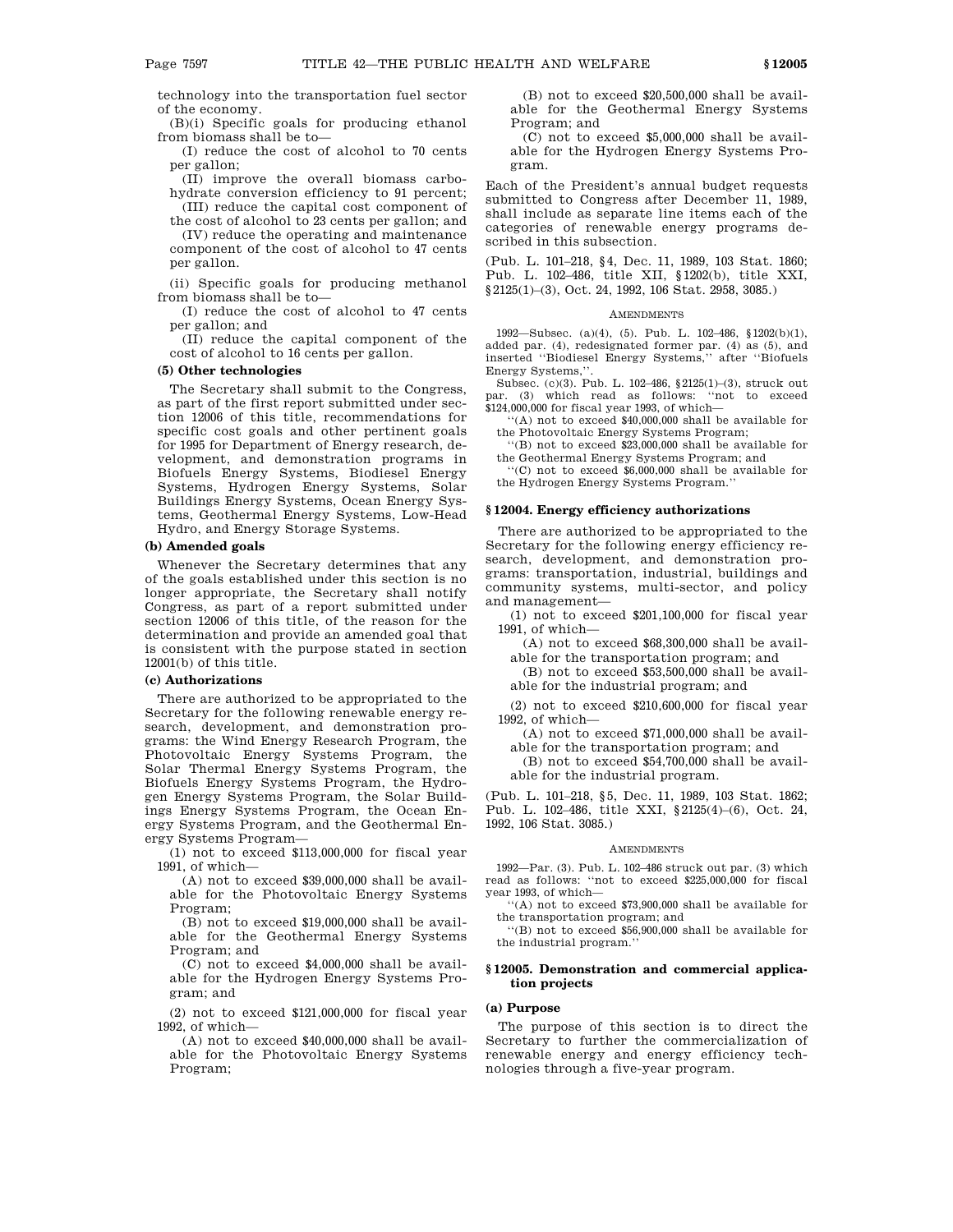technology into the transportation fuel sector of the economy.

(B)(i) Specific goals for producing ethanol from biomass shall be to—

(I) reduce the cost of alcohol to 70 cents per gallon;

(II) improve the overall biomass carbohydrate conversion efficiency to 91 percent; (III) reduce the capital cost component of

the cost of alcohol to 23 cents per gallon; and (IV) reduce the operating and maintenance component of the cost of alcohol to 47 cents per gallon.

(ii) Specific goals for producing methanol from biomass shall be to—

(I) reduce the cost of alcohol to 47 cents per gallon; and

(II) reduce the capital component of the cost of alcohol to 16 cents per gallon.

# **(5) Other technologies**

The Secretary shall submit to the Congress, as part of the first report submitted under section 12006 of this title, recommendations for specific cost goals and other pertinent goals for 1995 for Department of Energy research, development, and demonstration programs in Biofuels Energy Systems, Biodiesel Energy Systems, Hydrogen Energy Systems, Solar Buildings Energy Systems, Ocean Energy Systems, Geothermal Energy Systems, Low-Head Hydro, and Energy Storage Systems.

## **(b) Amended goals**

Whenever the Secretary determines that any of the goals established under this section is no longer appropriate, the Secretary shall notify Congress, as part of a report submitted under section 12006 of this title, of the reason for the determination and provide an amended goal that is consistent with the purpose stated in section 12001(b) of this title.

## **(c) Authorizations**

There are authorized to be appropriated to the Secretary for the following renewable energy research, development, and demonstration programs: the Wind Energy Research Program, the Photovoltaic Energy Systems Program, the Solar Thermal Energy Systems Program, the Biofuels Energy Systems Program, the Hydrogen Energy Systems Program, the Solar Buildings Energy Systems Program, the Ocean Energy Systems Program, and the Geothermal Energy Systems Program—

(1) not to exceed \$113,000,000 for fiscal year 1991, of which—

(A) not to exceed \$39,000,000 shall be available for the Photovoltaic Energy Systems Program;

(B) not to exceed \$19,000,000 shall be available for the Geothermal Energy Systems Program; and

(C) not to exceed \$4,000,000 shall be available for the Hydrogen Energy Systems Program; and

(2) not to exceed \$121,000,000 for fiscal year 1992, of which—

(A) not to exceed \$40,000,000 shall be available for the Photovoltaic Energy Systems Program;

(B) not to exceed \$20,500,000 shall be available for the Geothermal Energy Systems Program; and

(C) not to exceed \$5,000,000 shall be available for the Hydrogen Energy Systems Program.

Each of the President's annual budget requests submitted to Congress after December 11, 1989, shall include as separate line items each of the categories of renewable energy programs described in this subsection.

(Pub. L. 101–218, §4, Dec. 11, 1989, 103 Stat. 1860; Pub. L. 102–486, title XII, §1202(b), title XXI, §2125(1)–(3), Oct. 24, 1992, 106 Stat. 2958, 3085.)

#### AMENDMENTS

1992—Subsec. (a)(4), (5). Pub. L. 102–486, §1202(b)(1), added par. (4), redesignated former par. (4) as (5), and inserted ''Biodiesel Energy Systems,'' after ''Biofuels Energy Systems,''.

Subsec. (c)(3). Pub. L. 102–486, §2125(1)–(3), struck out par. (3) which read as follows: ''not to exceed \$124,000,000 for fiscal year 1993, of which—

''(A) not to exceed \$40,000,000 shall be available for the Photovoltaic Energy Systems Program;

''(B) not to exceed \$23,000,000 shall be available for the Geothermal Energy Systems Program; and

''(C) not to exceed \$6,000,000 shall be available for the Hydrogen Energy Systems Program.''

# **§ 12004. Energy efficiency authorizations**

There are authorized to be appropriated to the Secretary for the following energy efficiency research, development, and demonstration programs: transportation, industrial, buildings and community systems, multi-sector, and policy and management—

(1) not to exceed \$201,100,000 for fiscal year  $1991$  of which—

(A) not to exceed \$68,300,000 shall be avail-

able for the transportation program; and (B) not to exceed \$53,500,000 shall be avail-

able for the industrial program; and

(2) not to exceed \$210,600,000 for fiscal year 1992, of which—

(A) not to exceed \$71,000,000 shall be avail-

able for the transportation program; and

(B) not to exceed \$54,700,000 shall be available for the industrial program.

(Pub. L. 101–218, §5, Dec. 11, 1989, 103 Stat. 1862; Pub. L. 102–486, title XXI, §2125(4)–(6), Oct. 24, 1992, 106 Stat. 3085.)

## AMENDMENTS

1992—Par. (3). Pub. L. 102–486 struck out par. (3) which read as follows: ''not to exceed \$225,000,000 for fiscal year 1993, of which—

''(A) not to exceed \$73,900,000 shall be available for the transportation program; and

''(B) not to exceed \$56,900,000 shall be available for the industrial program.''

## **§ 12005. Demonstration and commercial application projects**

# **(a) Purpose**

The purpose of this section is to direct the Secretary to further the commercialization of renewable energy and energy efficiency technologies through a five-year program.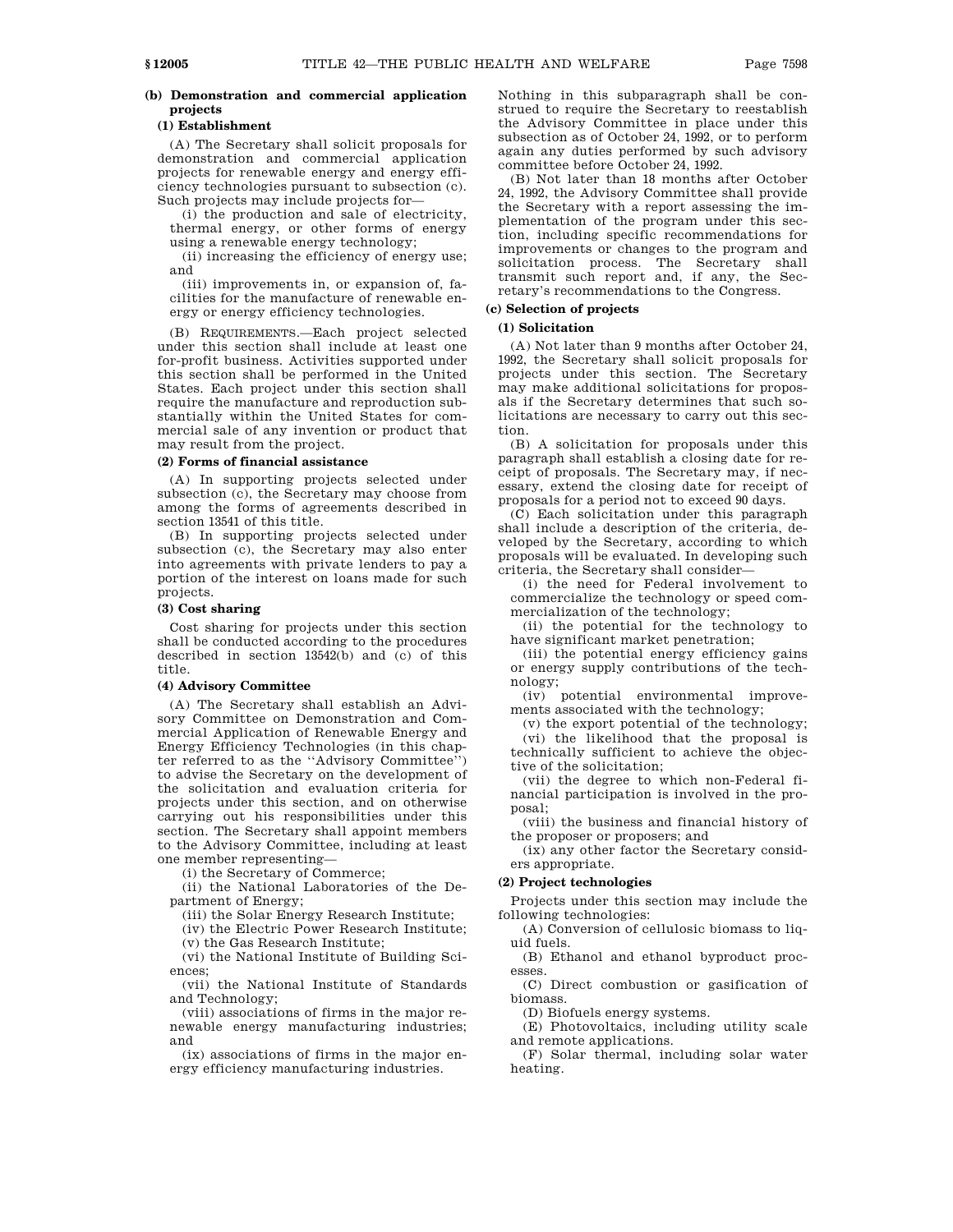# **(1) Establishment**

(A) The Secretary shall solicit proposals for demonstration and commercial application projects for renewable energy and energy efficiency technologies pursuant to subsection (c). Such projects may include projects for—

(i) the production and sale of electricity, thermal energy, or other forms of energy using a renewable energy technology;

(ii) increasing the efficiency of energy use; and

(iii) improvements in, or expansion of, facilities for the manufacture of renewable energy or energy efficiency technologies.

(B) REQUIREMENTS.—Each project selected under this section shall include at least one for-profit business. Activities supported under this section shall be performed in the United States. Each project under this section shall require the manufacture and reproduction substantially within the United States for commercial sale of any invention or product that may result from the project.

# **(2) Forms of financial assistance**

(A) In supporting projects selected under subsection (c), the Secretary may choose from among the forms of agreements described in section 13541 of this title.

(B) In supporting projects selected under subsection (c), the Secretary may also enter into agreements with private lenders to pay a portion of the interest on loans made for such projects.

# **(3) Cost sharing**

Cost sharing for projects under this section shall be conducted according to the procedures described in section 13542(b) and (c) of this title.

# **(4) Advisory Committee**

(A) The Secretary shall establish an Advisory Committee on Demonstration and Commercial Application of Renewable Energy and Energy Efficiency Technologies (in this chapter referred to as the ''Advisory Committee'') to advise the Secretary on the development of the solicitation and evaluation criteria for projects under this section, and on otherwise carrying out his responsibilities under this section. The Secretary shall appoint members to the Advisory Committee, including at least one member representing—

(i) the Secretary of Commerce;

(ii) the National Laboratories of the Department of Energy;

(iii) the Solar Energy Research Institute;

(iv) the Electric Power Research Institute;

(v) the Gas Research Institute;

(vi) the National Institute of Building Sciences;

(vii) the National Institute of Standards and Technology;

(viii) associations of firms in the major renewable energy manufacturing industries; and

(ix) associations of firms in the major energy efficiency manufacturing industries.

Nothing in this subparagraph shall be construed to require the Secretary to reestablish the Advisory Committee in place under this subsection as of October 24, 1992, or to perform again any duties performed by such advisory committee before October 24, 1992.

(B) Not later than 18 months after October 24, 1992, the Advisory Committee shall provide the Secretary with a report assessing the implementation of the program under this section, including specific recommendations for improvements or changes to the program and solicitation process. The Secretary shall transmit such report and, if any, the Secretary's recommendations to the Congress.

# **(c) Selection of projects**

## **(1) Solicitation**

(A) Not later than 9 months after October 24, 1992, the Secretary shall solicit proposals for projects under this section. The Secretary may make additional solicitations for proposals if the Secretary determines that such solicitations are necessary to carry out this section.

(B) A solicitation for proposals under this paragraph shall establish a closing date for receipt of proposals. The Secretary may, if necessary, extend the closing date for receipt of proposals for a period not to exceed 90 days.

(C) Each solicitation under this paragraph shall include a description of the criteria, developed by the Secretary, according to which proposals will be evaluated. In developing such criteria, the Secretary shall consider—

(i) the need for Federal involvement to commercialize the technology or speed commercialization of the technology;

(ii) the potential for the technology to have significant market penetration;

(iii) the potential energy efficiency gains or energy supply contributions of the technology;

(iv) potential environmental improvements associated with the technology;

(v) the export potential of the technology; (vi) the likelihood that the proposal is technically sufficient to achieve the objective of the solicitation;

(vii) the degree to which non-Federal financial participation is involved in the proposal;

(viii) the business and financial history of the proposer or proposers; and

(ix) any other factor the Secretary considers appropriate.

## **(2) Project technologies**

Projects under this section may include the following technologies:

(A) Conversion of cellulosic biomass to liquid fuels.

(B) Ethanol and ethanol byproduct processes.

(C) Direct combustion or gasification of biomass.

(D) Biofuels energy systems.

(E) Photovoltaics, including utility scale and remote applications.

(F) Solar thermal, including solar water heating.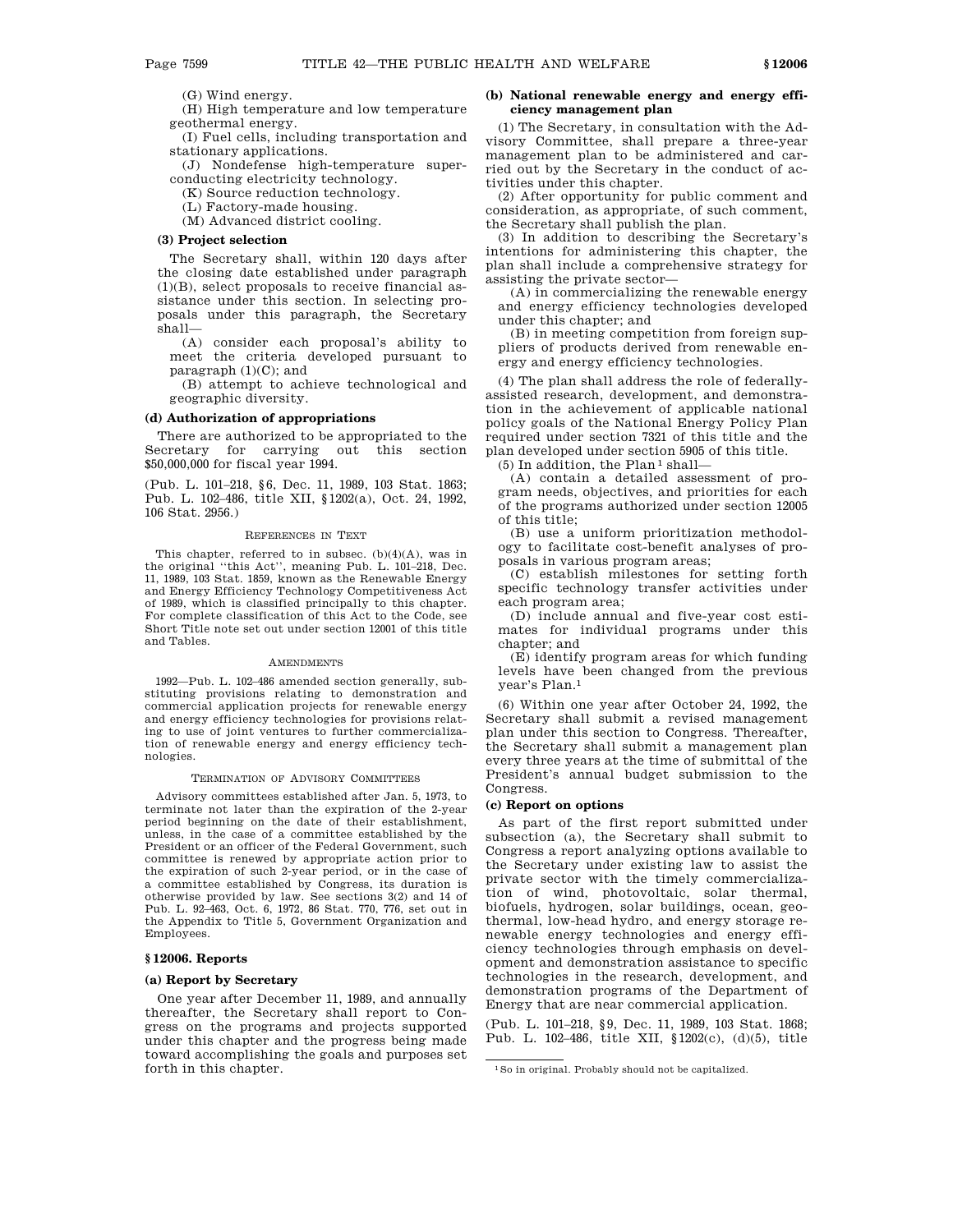(G) Wind energy.

(H) High temperature and low temperature geothermal energy.

(I) Fuel cells, including transportation and stationary applications.

(J) Nondefense high-temperature superconducting electricity technology.

(K) Source reduction technology.

(L) Factory-made housing.

(M) Advanced district cooling.

# **(3) Project selection**

The Secretary shall, within 120 days after the closing date established under paragraph (1)(B), select proposals to receive financial assistance under this section. In selecting proposals under this paragraph, the Secretary shall—

(A) consider each proposal's ability to meet the criteria developed pursuant to paragraph  $(1)(C)$ ; and

(B) attempt to achieve technological and geographic diversity.

# **(d) Authorization of appropriations**

There are authorized to be appropriated to the Secretary for carrying out this section \$50,000,000 for fiscal year 1994.

(Pub. L. 101–218, §6, Dec. 11, 1989, 103 Stat. 1863; Pub. L. 102–486, title XII, §1202(a), Oct. 24, 1992, 106 Stat. 2956.)

## REFERENCES IN TEXT

This chapter, referred to in subsec. (b)(4)(A), was in the original ''this Act'', meaning Pub. L. 101–218, Dec. 11, 1989, 103 Stat. 1859, known as the Renewable Energy and Energy Efficiency Technology Competitiveness Act of 1989, which is classified principally to this chapter. For complete classification of this Act to the Code, see Short Title note set out under section 12001 of this title and Tables.

#### **AMENDMENTS**

1992—Pub. L. 102–486 amended section generally, substituting provisions relating to demonstration and commercial application projects for renewable energy and energy efficiency technologies for provisions relating to use of joint ventures to further commercialization of renewable energy and energy efficiency technologies.

#### TERMINATION OF ADVISORY COMMITTEES

Advisory committees established after Jan. 5, 1973, to terminate not later than the expiration of the 2-year period beginning on the date of their establishment, unless, in the case of a committee established by the President or an officer of the Federal Government, such committee is renewed by appropriate action prior to the expiration of such 2-year period, or in the case of a committee established by Congress, its duration is otherwise provided by law. See sections 3(2) and 14 of Pub. L. 92–463, Oct. 6, 1972, 86 Stat. 770, 776, set out in the Appendix to Title 5, Government Organization and Employees.

## **§ 12006. Reports**

## **(a) Report by Secretary**

One year after December 11, 1989, and annually thereafter, the Secretary shall report to Congress on the programs and projects supported under this chapter and the progress being made toward accomplishing the goals and purposes set forth in this chapter.

# **(b) National renewable energy and energy efficiency management plan**

(1) The Secretary, in consultation with the Advisory Committee, shall prepare a three-year management plan to be administered and carried out by the Secretary in the conduct of activities under this chapter.

(2) After opportunity for public comment and consideration, as appropriate, of such comment, the Secretary shall publish the plan.

(3) In addition to describing the Secretary's intentions for administering this chapter, the plan shall include a comprehensive strategy for assisting the private sector—

(A) in commercializing the renewable energy and energy efficiency technologies developed under this chapter; and

(B) in meeting competition from foreign suppliers of products derived from renewable energy and energy efficiency technologies.

(4) The plan shall address the role of federallyassisted research, development, and demonstration in the achievement of applicable national policy goals of the National Energy Policy Plan required under section 7321 of this title and the plan developed under section 5905 of this title.

 $(5)$  In addition, the Plan<sup>1</sup> shall-

(A) contain a detailed assessment of program needs, objectives, and priorities for each of the programs authorized under section 12005 of this title;

(B) use a uniform prioritization methodology to facilitate cost-benefit analyses of proposals in various program areas;

(C) establish milestones for setting forth specific technology transfer activities under each program area;

(D) include annual and five-year cost estimates for individual programs under this chapter; and

(E) identify program areas for which funding levels have been changed from the previous year's Plan.1

(6) Within one year after October 24, 1992, the Secretary shall submit a revised management plan under this section to Congress. Thereafter, the Secretary shall submit a management plan every three years at the time of submittal of the President's annual budget submission to the Congress.

# **(c) Report on options**

As part of the first report submitted under subsection (a), the Secretary shall submit to Congress a report analyzing options available to the Secretary under existing law to assist the private sector with the timely commercialization of wind, photovoltaic, solar thermal, biofuels, hydrogen, solar buildings, ocean, geothermal, low-head hydro, and energy storage renewable energy technologies and energy efficiency technologies through emphasis on development and demonstration assistance to specific technologies in the research, development, and demonstration programs of the Department of Energy that are near commercial application.

(Pub. L. 101–218, §9, Dec. 11, 1989, 103 Stat. 1868; Pub. L. 102–486, title XII, §1202(c), (d)(5), title

<sup>1</sup>So in original. Probably should not be capitalized.